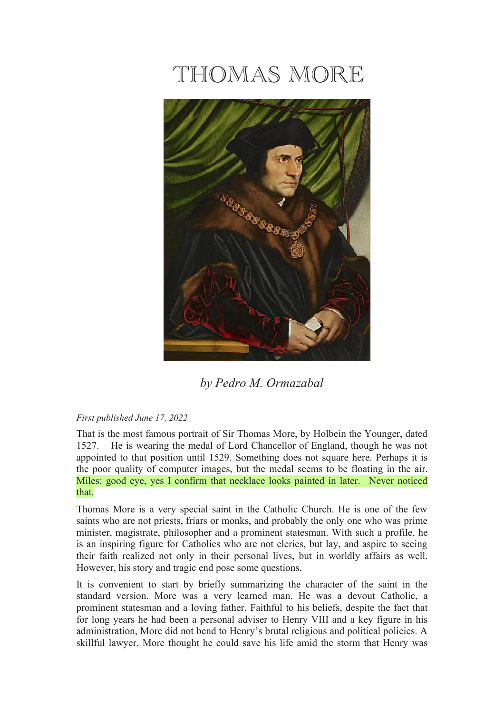# THOMAS MORE



*by Pedro M. Ormazabal*

# *First published June 17, 2022*

That is the most famous portrait of Sir Thomas More, by Holbein the Younger, dated 1527. He is wearing the medal of Lord Chancellor of England, though he was not appointed to that position until 1529. Something does not square here. Perhaps it is the poor quality of computer images, but the medal seems to be floating in the air. Miles: good eye, yes I confirm that necklace looks painted in later. Never noticed that.

Thomas More is a very special saint in the Catholic Church. He is one of the few saints who are not priests, friars or monks, and probably the only one who was prime minister, magistrate, philosopher and a prominent statesman. With such a profile, he is an inspiring figure for Catholics who are not clerics, but lay, and aspire to seeing their faith realized not only in their personal lives, but in worldly affairs as well. However, his story and tragic end pose some questions.

It is convenient to start by briefly summarizing the character of the saint in the standard version. More was a very learned man. He was a devout Catholic, a prominent statesman and a loving father. Faithful to his beliefs, despite the fact that for long years he had been a personal adviser to Henry VIII and a key figure in his administration, More did not bend to Henry's brutal religious and political policies. A skillful lawyer, More thought he could save his life amid the storm that Henry was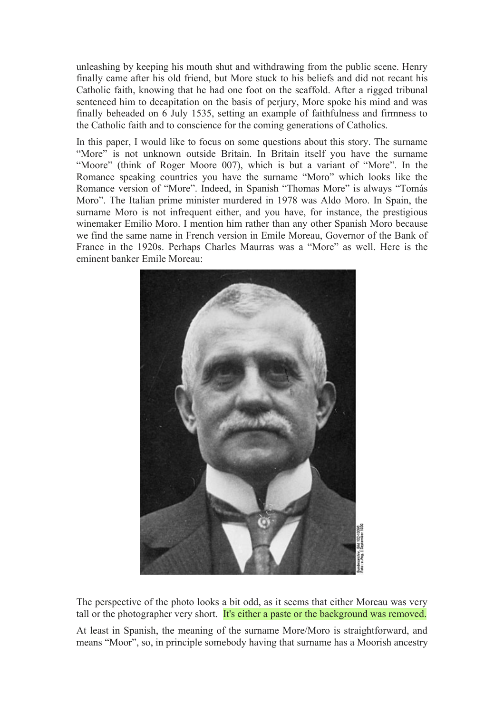unleashing by keeping his mouth shut and withdrawing from the public scene. Henry finally came after his old friend, but More stuck to his beliefs and did not recant his Catholic faith, knowing that he had one foot on the scaffold. After a rigged tribunal sentenced him to decapitation on the basis of perjury, More spoke his mind and was finally beheaded on 6 July 1535, setting an example of faithfulness and firmness to the Catholic faith and to conscience for the coming generations of Catholics.

In this paper, I would like to focus on some questions about this story. The surname "More" is not unknown outside Britain. In Britain itself you have the surname "Moore" (think of Roger Moore 007), which is but a variant of "More". In the Romance speaking countries you have the surname "Moro" which looks like the Romance version of "More". Indeed, in Spanish "Thomas More" is always "Tomás Moro". The Italian prime minister murdered in 1978 was Aldo Moro. In Spain, the surname Moro is not infrequent either, and you have, for instance, the prestigious winemaker Emilio Moro. I mention him rather than any other Spanish Moro because we find the same name in French version in Emile Moreau, Governor of the Bank of France in the 1920s. Perhaps Charles Maurras was a "More" as well. Here is the eminent banker Emile Moreau:



The perspective of the photo looks a bit odd, as it seems that either Moreau was very tall or the photographer very short. It's either a paste or the background was removed.

At least in Spanish, the meaning of the surname More/Moro is straightforward, and means "Moor", so, in principle somebody having that surname has a Moorish ancestry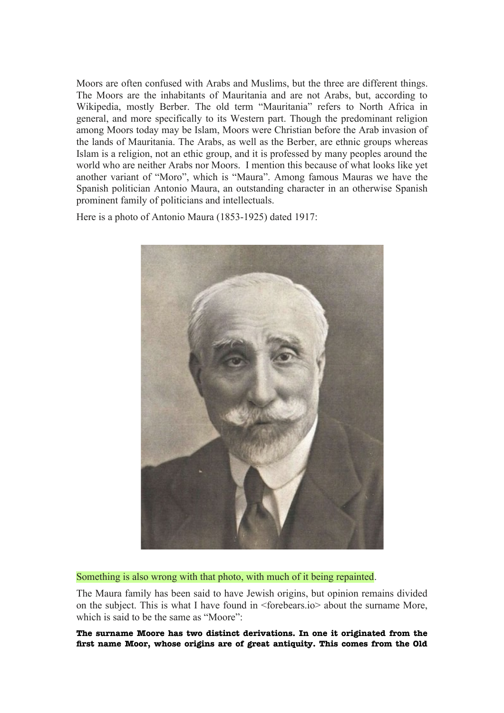Moors are often confused with Arabs and Muslims, but the three are different things. The Moors are the inhabitants of Mauritania and are not Arabs, but, according to Wikipedia, mostly Berber. The old term "Mauritania" refers to North Africa in general, and more specifically to its Western part. Though the predominant religion among Moors today may be Islam, Moors were Christian before the Arab invasion of the lands of Mauritania. The Arabs, as well as the Berber, are ethnic groups whereas Islam is a religion, not an ethic group, and it is professed by many peoples around the world who are neither Arabs nor Moors. I mention this because of what looks like yet another variant of "Moro", which is "Maura". Among famous Mauras we have the Spanish politician Antonio Maura, an outstanding character in an otherwise Spanish prominent family of politicians and intellectuals.

Here is a photo of Antonio Maura (1853-1925) dated 1917:



Something is also wrong with that photo, with much of it being repainted.

The Maura family has been said to have Jewish origins, but opinion remains divided on the subject. This is what I have found in <forebears.io> about the surname More, which is said to be the same as "Moore":

**The surname Moore has two distinct derivations. In one it originated from the frst name Moor, whose origins are of great antiquity. This comes from the Old**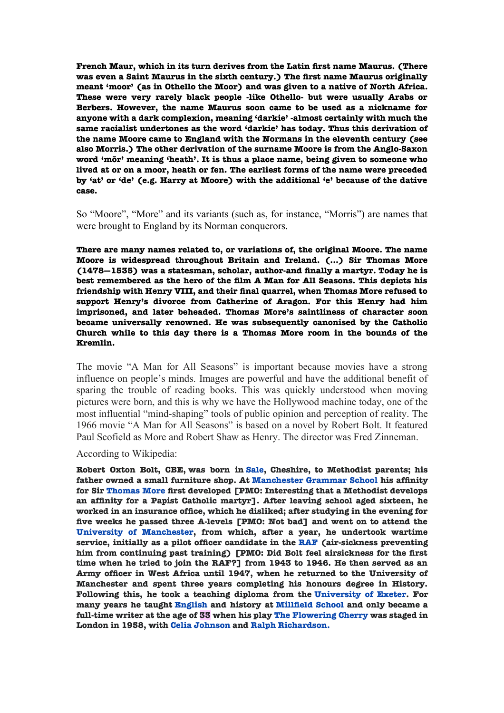**French Maur, which in its turn derives from the Latin frst name Maurus. (There was even a Saint Maurus in the sixth century.) The frst name Maurus originally meant 'moor' (as in Othello the Moor) and was given to a native of North Africa. These were very rarely black people -like Othello- but were usually Arabs or Berbers. However, the name Maurus soon came to be used as a nickname for anyone with a dark complexion, meaning 'darkie' -almost certainly with much the same racialist undertones as the word 'darkie' has today. Thus this derivation of the name Moore came to England with the Normans in the eleventh century (see also Morris.) The other derivation of the surname Moore is from the Anglo-Saxon word 'mōr' meaning 'heath'. It is thus a place name, being given to someone who lived at or on a moor, heath or fen. The earliest forms of the name were preceded by 'at' or 'de' (e.g. Harry at Moore) with the additional 'e' because of the dative case.**

So "Moore", "More" and its variants (such as, for instance, "Morris") are names that were brought to England by its Norman conquerors.

**There are many names related to, or variations of, the original Moore. The name Moore is widespread throughout Britain and Ireland. (...) Sir Thomas More (1478—1535) was a statesman, scholar, author-and fnally a martyr. Today he is best remembered as the hero of the flm A Man for All Seasons. This depicts his friendship with Henry VIII, and their fnal quarrel, when Thomas More refused to support Henry's divorce from Catherine of Aragon. For this Henry had him imprisoned, and later beheaded. Thomas More's saintliness of character soon became universally renowned. He was subsequently canonised by the Catholic Church while to this day there is a Thomas More room in the bounds of the Kremlin.**

The movie "A Man for All Seasons" is important because movies have a strong influence on people's minds. Images are powerful and have the additional benefit of sparing the trouble of reading books. This was quickly understood when moving pictures were born, and this is why we have the Hollywood machine today, one of the most influential "mind-shaping" tools of public opinion and perception of reality. The 1966 movie "A Man for All Seasons" is based on a novel by Robert Bolt. It featured Paul Scofield as More and Robert Shaw as Henry. The director was Fred Zinneman.

According to Wikipedia:

**Robert Oxton Bolt, CBE, was born in [Sale,](file:///h) Cheshire, to Methodist parents; his father owned a small furniture shop. At [Manchester Grammar School](file:///h) his affnity for Sir [Thomas More](file:///h) frst developed [PMO: Interesting that a Methodist develops an affnity for a Papist Catholic martyr]. After leaving school aged sixteen, he worked in an insurance offce, which he disliked; after studying in the evening for fve weeks he passed three A-levels [PMO: Not bad] and went on to attend the [University of Manchester,](file:///h) from which, after a year, he undertook wartime service, initially as a pilot offcer candidate in the [RAF](file:///h) (air-sickness preventing him from continuing past training) [PMO: Did Bolt feel airsickness for the frst time when he tried to join the RAF?] from 1943 to 1946. He then served as an Army offcer in West Africa until 1947, when he returned to the University of Manchester and spent three years completing his honours degree in History. Following this, he took a teaching diploma from the [University of Exeter.](file:///h) For many years he taught [English](file:///h) and history at [Millfeld School](file:///h) and only became a full-time writer at the age of 33 when his play [The Flowering Cherry](file:///h) was staged in London in 1958, with [Celia Johnson](file:///h) and [Ralph Richardson.](file:///h)**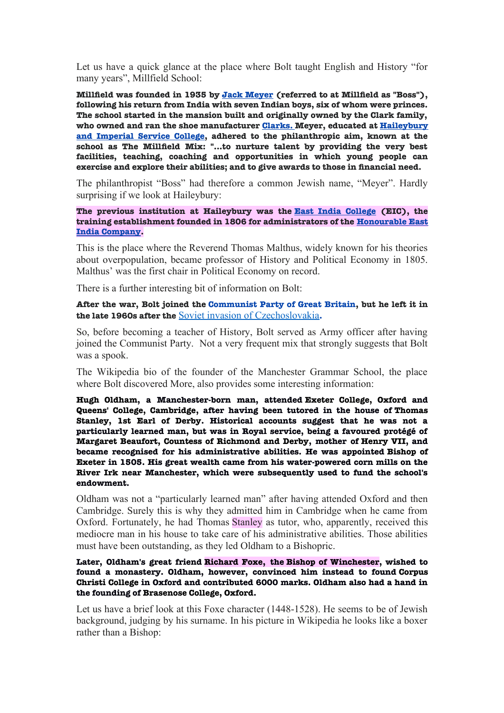Let us have a quick glance at the place where Bolt taught English and History "for many years", Millfield School:

**Millfeld was founded in 1935 by [Jack Meyer](file:///h) (referred to at Millfeld as "Boss"), following his return from India with seven Indian boys, six of whom were princes. The school started in the mansion built and originally owned by the Clark family, who owned and ran the shoe manufacturer Clarks. Meyer, educated at [Haileybury](file:///h) [and Imperial Service College,](file:///h) adhered to the philanthropic aim, known at the school as The Millfeld Mix: "...to nurture talent by providing the very best facilities, teaching, coaching and opportunities in which young people can exercise and explore their abilities; and to give awards to those in fnancial need.**

The philanthropist "Boss" had therefore a common Jewish name, "Meyer". Hardly surprising if we look at Haileybury:

**The previous institution at Haileybury was the [East India College](file:///h) (EIC), the training establishment founded in 1806 for administrators of the [Honourable East](file:///h) [India Company.](file:///h)**

This is the place where the Reverend Thomas Malthus, widely known for his theories about overpopulation, became professor of History and Political Economy in 1805. Malthus' was the first chair in Political Economy on record.

There is a further interesting bit of information on Bolt:

**After the war, Bolt joined the [Communist Party of Great Britain,](file:///h) but he left it in the late 1960s after the** [Soviet invasion of Czechoslovakia](file:///h)**.**

So, before becoming a teacher of History, Bolt served as Army officer after having joined the Communist Party. Not a very frequent mix that strongly suggests that Bolt was a spook.

The Wikipedia bio of the founder of the Manchester Grammar School, the place where Bolt discovered More, also provides some interesting information:

**[Hugh Oldham,](file:///h) a Manchester-born man, attended [Exeter College, Oxford](file:///h) and [Queens' College, Cambridge,](file:///h) after having been tutored in the house of [Thomas](file:///h) [Stanley, 1st Earl of Derby.](file:///h) Historical accounts suggest that he was not a particularly learned man, but was in Royal service, being a favoured protégé of [Margaret Beaufort, Countess of Richmond and Derby,](file:///h) mother of [Henry VII,](file:///h) and became recognised for his administrative abilities. He was appointed [Bishop of](file:///h) [Exeter](file:///h) in 1505. His great wealth came from his water-powered corn mills on the [River Irk](file:///h) near Manchester, which were subsequently used to fund the school's endowment.**

Oldham was not a "particularly learned man" after having attended Oxford and then Cambridge. Surely this is why they admitted him in Cambridge when he came from Oxford. Fortunately, he had Thomas Stanley as tutor, who, apparently, received this mediocre man in his house to take care of his administrative abilities. Those abilities must have been outstanding, as they led Oldham to a Bishopric.

**Later, Oldham's great friend [Richard Foxe,](file:///h) the [Bishop of Winchester,](file:///h) wished to found a monastery. Oldham, however, convinced him instead to found [Corpus](file:///h) [Christi College](file:///h) in Oxford and contributed 6000 marks. Oldham also had a hand in the founding of [Brasenose College, Oxford.](file:///h)**

Let us have a brief look at this Foxe character (1448-1528). He seems to be of Jewish background, judging by his surname. In his picture in Wikipedia he looks like a boxer rather than a Bishop: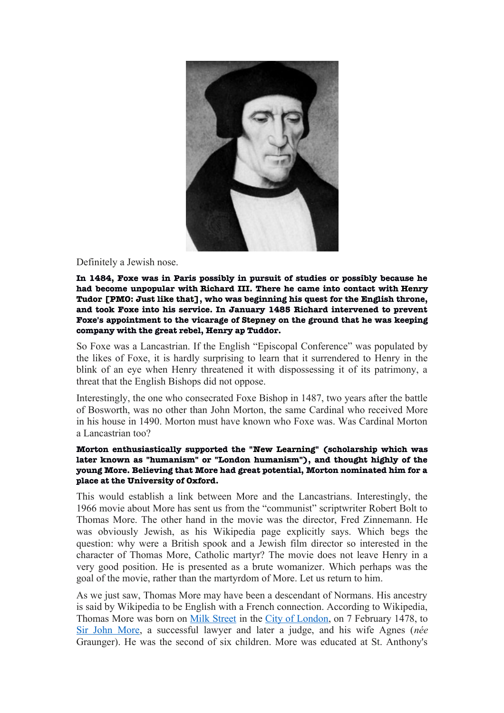

# Definitely a Jewish nose.

**In 1484, Foxe was in Paris possibly in pursuit of studies or possibly because he had become unpopular with [Richard III.](file:///h) There he came into contact with [Henry](file:///h) [Tudor](file:///h) [PMO: Just like that], who was beginning his quest for the English throne, and took Foxe into his service. In January 1485 Richard intervened to prevent Foxe's appointment to the vicarage of [Stepney](file:///h) on the ground that he was keeping company with the great rebel, Henry ap Tuddor.**

So Foxe was a Lancastrian. If the English "Episcopal Conference" was populated by the likes of Foxe, it is hardly surprising to learn that it surrendered to Henry in the blink of an eye when Henry threatened it with dispossessing it of its patrimony, a threat that the English Bishops did not oppose.

Interestingly, the one who consecrated Foxe Bishop in 1487, two years after the battle of Bosworth, was no other than John Morton, the same Cardinal who received More in his house in 1490. Morton must have known who Foxe was. Was Cardinal Morton a Lancastrian too?

# **Morton enthusiastically supported the ["New Learning"](file:///h) (scholarship which was later known as "humanism" or "London humanism"), and thought highly of the young More. Believing that More had great potential, Morton nominated him for a place at the [University of Oxford.](file:///h)**

This would establish a link between More and the Lancastrians. Interestingly, the 1966 movie about More has sent us from the "communist" scriptwriter Robert Bolt to Thomas More. The other hand in the movie was the director, Fred Zinnemann. He was obviously Jewish, as his Wikipedia page explicitly says. Which begs the question: why were a British spook and a Jewish film director so interested in the character of Thomas More, Catholic martyr? The movie does not leave Henry in a very good position. He is presented as a brute womanizer. Which perhaps was the goal of the movie, rather than the martyrdom of More. Let us return to him.

As we just saw, Thomas More may have been a descendant of Normans. His ancestry is said by Wikipedia to be English with a French connection. According to Wikipedia, Thomas More was born on [Milk Street](file:///h) in the [City of London,](file:///h) on 7 February 1478, to [Sir John More,](file:///h) a successful lawyer and later a judge, and his wife Agnes (*née* Graunger). He was the second of six children. More was educated at St. Anthony's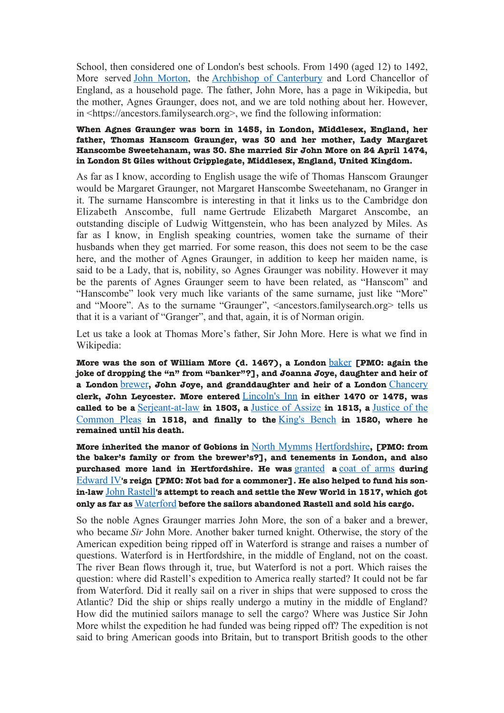School, then considered one of London's best schools. From 1490 (aged 12) to 1492, More served [John Morton,](file:///h) the [Archbishop of Canterbury](file:///h) and Lord Chancellor of England, as a household page. The father, John More, has a page in Wikipedia, but the mother, Agnes Graunger, does not, and we are told nothing about her. However, in <https://ancestors.familysearch.org>, we find the following information:

# **When Agnes Graunger was born in 1455, in London, Middlesex, England, her father, Thomas Hanscom Graunger, was 30 and her mother, Lady Margaret Hanscombe Sweetehanam, was 30. She married Sir John More on 24 April 1474, in London St Giles without Cripplegate, Middlesex, England, United Kingdom.**

As far as I know, according to English usage the wife of Thomas Hanscom Graunger would be Margaret Graunger, not Margaret Hanscombe Sweetehanam, no Granger in it. The surname Hanscombre is interesting in that it links us to the Cambridge don Elizabeth Anscombe, full name Gertrude Elizabeth Margaret Anscombe, an outstanding disciple of Ludwig Wittgenstein, who has been analyzed by Miles. As far as I know, in English speaking countries, women take the surname of their husbands when they get married. For some reason, this does not seem to be the case here, and the mother of Agnes Graunger, in addition to keep her maiden name, is said to be a Lady, that is, nobility, so Agnes Graunger was nobility. However it may be the parents of Agnes Graunger seem to have been related, as "Hanscom" and "Hanscombe" look very much like variants of the same surname, just like "More" and "Moore". As to the surname "Graunger", <ancestors.familysearch.org> tells us that it is a variant of "Granger", and that, again, it is of Norman origin.

Let us take a look at Thomas More's father, Sir John More. Here is what we find in Wikipedia:

**More was the son of William More (d. 1467), a London** [baker](file:///h) **[PMO: again the joke of dropping the "n" from "banker"?], and Joanna Joye, daughter and heir of a London** [brewer](file:///h)**, John Joye, and granddaughter and heir of a London** [Chancery](file:///h) **clerk, John Leycester. More entered** [Lincoln's Inn](file:///h) **in either 1470 or 1475, was called to be a** [Serjeant-at-law](file:///h) **in 1503, a** [Justice of Assize](file:///h) **in 1513, a** [Justice of the](file:///h) [Common Pleas](file:///h) **in 1518, and fnally to the** [King's Bench](file:///h) **in 1520, where he remained until his death.**

**More inherited the manor of Gobions in** [North Mymms](file:///h) [Hertfordshire](file:///h)**, [PMO: from the baker's family or from the brewer's?], and tenements in London, and also purchased more land in Hertfordshire. He was** [granted](file:///h) **a** [coat of arms](file:///h) **during** [Edward IV](file:///h)**'s reign [PMO: Not bad for a commoner]. He also helped to fund his sonin-law** [John Rastell](file:///h)**'s attempt to reach and settle the New World in 1517, which got only as far as** [Waterford](file:///h) **before the sailors abandoned Rastell and sold his cargo.**

So the noble Agnes Graunger marries John More, the son of a baker and a brewer, who became *Sir* John More. Another baker turned knight. Otherwise, the story of the American expedition being ripped off in Waterford is strange and raises a number of questions. Waterford is in Hertfordshire, in the middle of England, not on the coast. The river Bean flows through it, true, but Waterford is not a port. Which raises the question: where did Rastell's expedition to America really started? It could not be far from Waterford. Did it really sail on a river in ships that were supposed to cross the Atlantic? Did the ship or ships really undergo a mutiny in the middle of England? How did the mutinied sailors manage to sell the cargo? Where was Justice Sir John More whilst the expedition he had funded was being ripped off? The expedition is not said to bring American goods into Britain, but to transport British goods to the other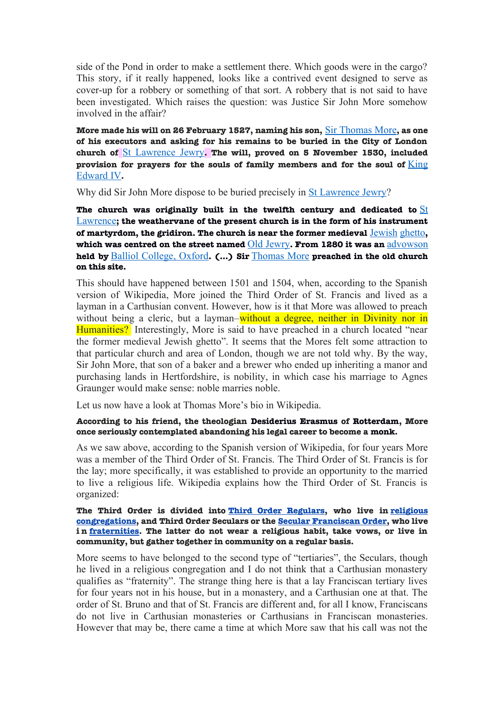side of the Pond in order to make a settlement there. Which goods were in the cargo? This story, if it really happened, looks like a contrived event designed to serve as cover-up for a robbery or something of that sort. A robbery that is not said to have been investigated. Which raises the question: was Justice Sir John More somehow involved in the affair?

**More made his will on 26 February 1527, naming his son,** [Sir Thomas More](file:///h)**, as one of his executors and asking for his remains to be buried in the City of London church of** [St Lawrence Jewry](file:///h)**. The will, proved on 5 November 1530, included provision for prayers for the souls of family members and for the soul of** [King](file:///h) [Edward IV](file:///h)**.**

Why did Sir John More dispose to be buried precisely in [St Lawrence Jewry?](file:///h)

**The church was originally built in the twelfth century and dedicated to** [St](file:///h) [Lawrence](file:///h)**; the weathervane of the present church is in the form of his instrument of martyrdom, the gridiron. The church is near the former medieval** [Jewish](file:///h) [ghetto](file:///h)**, which was centred on the street named** [Old Jewry](file:///h)**. From 1280 it was an** [advowson](file:///h) **held by** [Balliol College, Oxford](file:///h)**. (…) Sir** [Thomas More](file:///h) **preached in the old church on this site.**

This should have happened between 1501 and 1504, when, according to the Spanish version of Wikipedia, More joined the Third Order of St. Francis and lived as a layman in a Carthusian convent. However, how is it that More was allowed to preach without being a cleric, but a layman–without a degree, neither in Divinity nor in Humanities? Interestingly, More is said to have preached in a church located "near the former medieval Jewish ghetto". It seems that the Mores felt some attraction to that particular church and area of London, though we are not told why. By the way, Sir John More, that son of a baker and a brewer who ended up inheriting a manor and purchasing lands in Hertfordshire, is nobility, in which case his marriage to Agnes Graunger would make sense: noble marries noble.

Let us now have a look at Thomas More's bio in Wikipedia.

## **According to his friend, the theologian [Desiderius Erasmus](file:///h) of [Rotterdam,](file:///h) More once seriously contemplated abandoning his legal career to become a [monk.](file:///h)**

As we saw above, according to the Spanish version of Wikipedia, for four years More was a member of the Third Order of St. Francis. The Third Order of St. Francis is for the lay; more specifically, it was established to provide an opportunity to the married to live a religious life. Wikipedia explains how the Third Order of St. Francis is organized:

#### **The Third Order is divided into [Third Order Regulars,](file:///h) who live in [religious](file:///h) [congregations,](file:///h) and Third Order Seculars or the [Secular Franciscan Order,](file:///h) who live i n [fraternities.](file:///h) The latter do not wear a religious habit, take vows, or live in community, but gather together in community on a regular basis.**

More seems to have belonged to the second type of "tertiaries", the Seculars, though he lived in a religious congregation and I do not think that a Carthusian monastery qualifies as "fraternity". The strange thing here is that a lay Franciscan tertiary lives for four years not in his house, but in a monastery, and a Carthusian one at that. The order of St. Bruno and that of St. Francis are different and, for all I know, Franciscans do not live in Carthusian monasteries or Carthusians in Franciscan monasteries. However that may be, there came a time at which More saw that his call was not the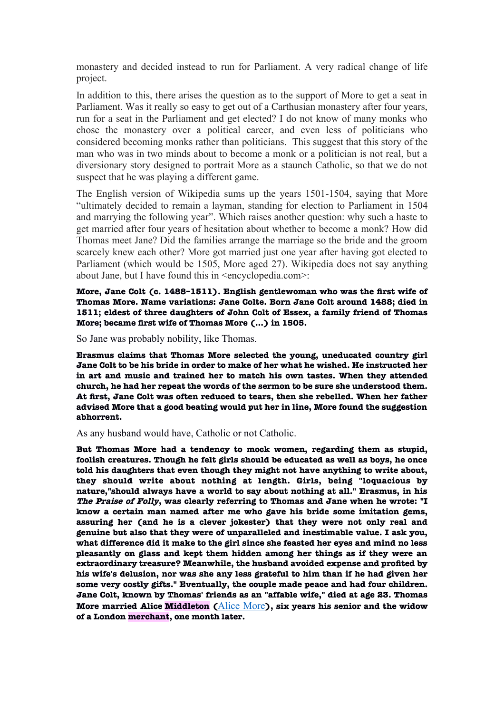monastery and decided instead to run for Parliament. A very radical change of life project.

In addition to this, there arises the question as to the support of More to get a seat in Parliament. Was it really so easy to get out of a Carthusian monastery after four years, run for a seat in the Parliament and get elected? I do not know of many monks who chose the monastery over a political career, and even less of politicians who considered becoming monks rather than politicians. This suggest that this story of the man who was in two minds about to become a monk or a politician is not real, but a diversionary story designed to portrait More as a staunch Catholic, so that we do not suspect that he was playing a different game.

The English version of Wikipedia sums up the years 1501-1504, saying that More "ultimately decided to remain a layman, standing for election to Parliament in 1504 and marrying the following year". Which raises another question: why such a haste to get married after four years of hesitation about whether to become a monk? How did Thomas meet Jane? Did the families arrange the marriage so the bride and the groom scarcely knew each other? More got married just one year after having got elected to Parliament (which would be 1505, More aged 27). Wikipedia does not say anything about Jane, but I have found this in <encyclopedia.com>:

**More, Jane Colt (c. 1488–1511). English gentlewoman who was the frst wife of Thomas More. Name variations: Jane Colte. Born Jane Colt around 1488; died in 1511; eldest of three daughters of John Colt of Essex, a family friend of Thomas More; became frst wife of Thomas More (...) in 1505.**

So Jane was probably nobility, like Thomas.

**Erasmus claims that Thomas More selected the young, uneducated country girl Jane Colt to be his bride in order to make of her what he wished. He instructed her in art and music and trained her to match his own tastes. When they attended church, he had her repeat the words of the sermon to be sure she understood them. At frst, Jane Colt was often reduced to tears, then she rebelled. When her father advised More that a good beating would put her in line, More found the suggestion abhorrent.**

## As any husband would have, Catholic or not Catholic.

**But Thomas More had a tendency to mock women, regarding them as stupid, foolish creatures. Though he felt girls should be educated as well as boys, he once told his daughters that even though they might not have anything to write about, they should write about nothing at length. Girls, being "loquacious by nature,"should always have a world to say about nothing at all." Erasmus, in his The Praise of Folly, was clearly referring to Thomas and Jane when he wrote: "I know a certain man named after me who gave his bride some imitation gems, assuring her (and he is a clever jokester) that they were not only real and genuine but also that they were of unparalleled and inestimable value. I ask you, what difference did it make to the girl since she feasted her eyes and mind no less pleasantly on glass and kept them hidden among her things as if they were an extraordinary treasure? Meanwhile, the husband avoided expense and profted by his wife's delusion, nor was she any less grateful to him than if he had given her some very costly gifts." Eventually, the couple made peace and had four children. Jane Colt, known by Thomas' friends as an "affable wife," died at age 23. Thomas More married Alice Middleton (**[Alice More](file:///h)**), six years his senior and the widow of a London merchant, one month later.**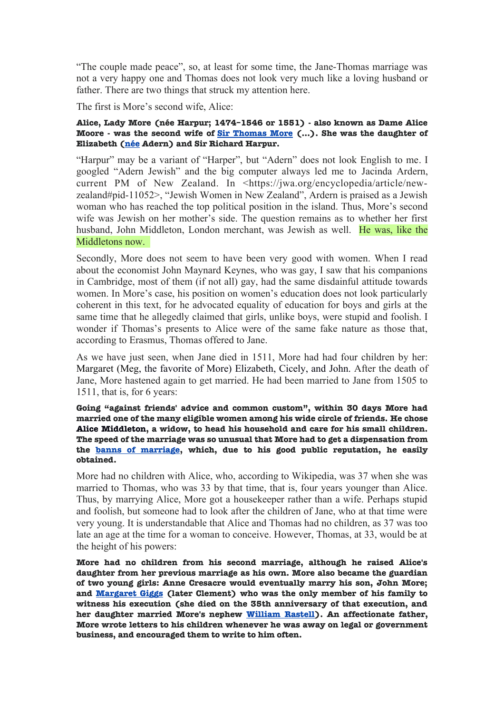"The couple made peace", so, at least for some time, the Jane-Thomas marriage was not a very happy one and Thomas does not look very much like a loving husband or father. There are two things that struck my attention here.

The first is More's second wife, Alice:

# **Alice, Lady More (née Harpur; 1474–1546 or 1551) - also known as Dame Alice Moore - was the second wife of [Sir Thomas More](file:///h) (…). She was the daughter of Elizabeth [\(née](file:///h) Adern) and Sir Richard Harpur.**

"Harpur" may be a variant of "Harper", but "Adern" does not look English to me. I googled "Adern Jewish" and the big computer always led me to Jacinda Ardern, current PM of New Zealand. In <https://jwa.org/encyclopedia/article/newzealand#pid-11052>, "Jewish Women in New Zealand", Ardern is praised as a Jewish woman who has reached the top political position in the island. Thus, More's second wife was Jewish on her mother's side. The question remains as to whether her first husband, John Middleton, London merchant, was Jewish as well. He was, like the Middletons now.

Secondly, More does not seem to have been very good with women. When I read about the economist John Maynard Keynes, who was gay, I saw that his companions in Cambridge, most of them (if not all) gay, had the same disdainful attitude towards women. In More's case, his position on women's education does not look particularly coherent in this text, for he advocated equality of education for boys and girls at the same time that he allegedly claimed that girls, unlike boys, were stupid and foolish. I wonder if Thomas's presents to Alice were of the same fake nature as those that, according to Erasmus, Thomas offered to Jane.

As we have just seen, when Jane died in 1511, More had had four children by her: [Margaret](file:///h) (Meg, the favorite of More) Elizabeth, Cicely, and John. After the death of Jane, More hastened again to get married. He had been married to Jane from 1505 to 1511, that is, for 6 years:

#### **Going "against friends' advice and common custom", within 30 days More had married one of the many eligible women among his wide circle of friends. He chose [Alice Middleton,](file:///h) a widow, to head his household and care for his small children. The speed of the marriage was so unusual that More had to get a dispensation from the [banns of marriage,](file:///h) which, due to his good public reputation, he easily obtained.**

More had no children with Alice, who, according to Wikipedia, was 37 when she was married to Thomas, who was 33 by that time, that is, four years younger than Alice. Thus, by marrying Alice, More got a housekeeper rather than a wife. Perhaps stupid and foolish, but someone had to look after the children of Jane, who at that time were very young. It is understandable that Alice and Thomas had no children, as 37 was too late an age at the time for a woman to conceive. However, Thomas, at 33, would be at the height of his powers:

**More had no children from his second marriage, although he raised Alice's daughter from her previous marriage as his own. More also became the guardian of two young girls: Anne Cresacre would eventually marry his son, John More; and [Margaret Giggs](file:///h) (later Clement) who was the only member of his family to witness his execution (she died on the 35th anniversary of that execution, and her daughter married More's nephew [William Rastell\)](file:///h). An affectionate father, More wrote letters to his children whenever he was away on legal or government business, and encouraged them to write to him often.**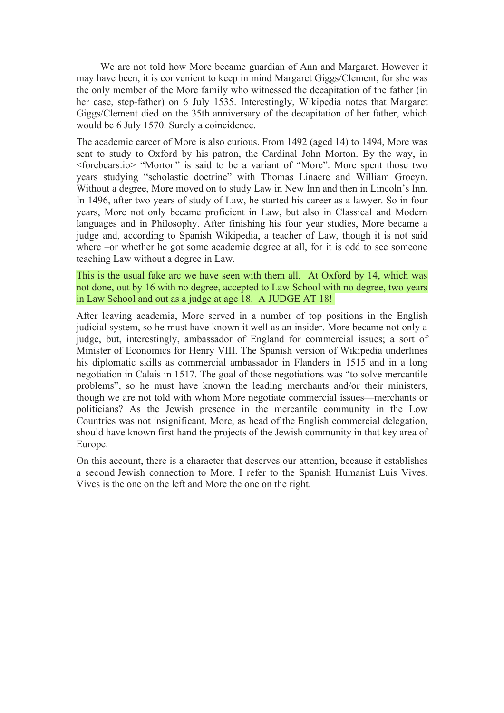We are not told how More became guardian of Ann and Margaret. However it may have been, it is convenient to keep in mind Margaret Giggs/Clement, for she was the only member of the More family who witnessed the decapitation of the father (in her case, step-father) on 6 July 1535. Interestingly, Wikipedia notes that Margaret Giggs/Clement died on the 35th anniversary of the decapitation of her father, which would be 6 July 1570. Surely a coincidence.

The academic career of More is also curious. From 1492 (aged 14) to 1494, More was sent to study to Oxford by his patron, the Cardinal John Morton. By the way, in <forebears.io> "Morton" is said to be a variant of "More". More spent those two years studying "scholastic doctrine" with Thomas Linacre and William Grocyn. Without a degree, More moved on to study Law in New Inn and then in Lincoln's Inn. In 1496, after two years of study of Law, he started his career as a lawyer. So in four years, More not only became proficient in Law, but also in Classical and Modern languages and in Philosophy. After finishing his four year studies, More became a judge and, according to Spanish Wikipedia, a teacher of Law, though it is not said where –or whether he got some academic degree at all, for it is odd to see someone teaching Law without a degree in Law.

This is the usual fake arc we have seen with them all. At Oxford by 14, which was not done, out by 16 with no degree, accepted to Law School with no degree, two years in Law School and out as a judge at age 18. A JUDGE AT 18!

After leaving academia, More served in a number of top positions in the English judicial system, so he must have known it well as an insider. More became not only a judge, but, interestingly, ambassador of England for commercial issues; a sort of Minister of Economics for Henry VIII. The Spanish version of Wikipedia underlines his diplomatic skills as commercial ambassador in Flanders in 1515 and in a long negotiation in Calais in 1517. The goal of those negotiations was "to solve mercantile problems", so he must have known the leading merchants and/or their ministers, though we are not told with whom More negotiate commercial issues—merchants or politicians? As the Jewish presence in the mercantile community in the Low Countries was not insignificant, More, as head of the English commercial delegation, should have known first hand the projects of the Jewish community in that key area of Europe.

On this account, there is a character that deserves our attention, because it establishes a second Jewish connection to More. I refer to the Spanish Humanist Luis Vives. Vives is the one on the left and More the one on the right.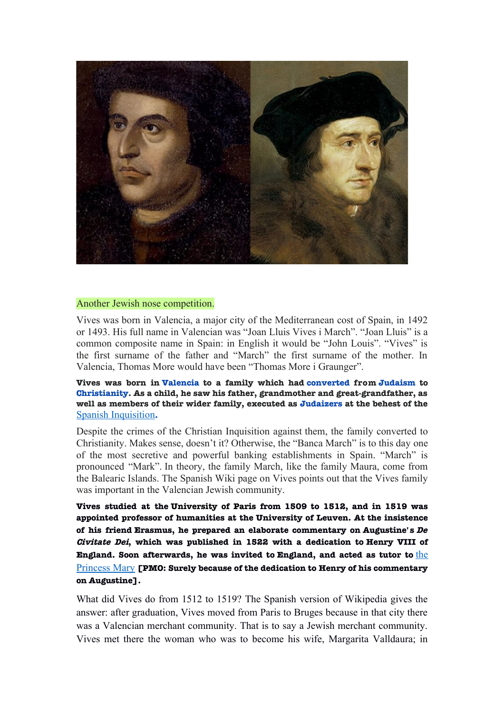

#### Another Jewish nose competition.

Vives was born in Valencia, a major city of the Mediterranean cost of Spain, in 1492 or 1493. His full name in Valencian was "Joan Lluis Vives i March". "Joan Lluis" is a common composite name in Spain: in English it would be "John Louis". "Vives" is the first surname of the father and "March" the first surname of the mother. In Valencia, Thomas More would have been "Thomas More i Graunger".

**Vives was born in [Valencia](file:///h) to a family which had [converted](file:///h) from [Judaism](file:///h) to [Christianity.](file:///h) As a child, he saw his father, grandmother and great-grandfather, as well as members of their wider family, executed as [Judaizers](file:///h) at the behest of the** [Spanish Inquisition](file:///h)**.**

Despite the crimes of the Christian Inquisition against them, the family converted to Christianity. Makes sense, doesn't it? Otherwise, the "Banca March" is to this day one of the most secretive and powerful banking establishments in Spain. "March" is pronounced "Mark". In theory, the family March, like the family Maura, come from the Balearic Islands. The Spanish Wiki page on Vives points out that the Vives family was important in the Valencian Jewish community.

**Vives studied at the [University of Paris](file:///h) from 1509 to 1512, and in 1519 was appointed professor of humanities at the [University of Leuven.](file:///h) At the insistence of his friend [Erasmus,](file:///h) he prepared an elaborate commentary on [Augustine'](file:///h) s De Civitate Dei, which was published in 1522 with a dedication to [Henry VIII of](file:///h) [England.](file:///h) Soon afterwards, he was invited to [England,](file:///h) and acted as tutor to** [the](file:///h) [Princess Mary](file:///h) **[PMO: Surely because of the dedication to Henry of his commentary on Augustine].**

What did Vives do from 1512 to 1519? The Spanish version of Wikipedia gives the answer: after graduation, Vives moved from Paris to Bruges because in that city there was a Valencian merchant community. That is to say a Jewish merchant community. Vives met there the woman who was to become his wife, Margarita Valldaura; in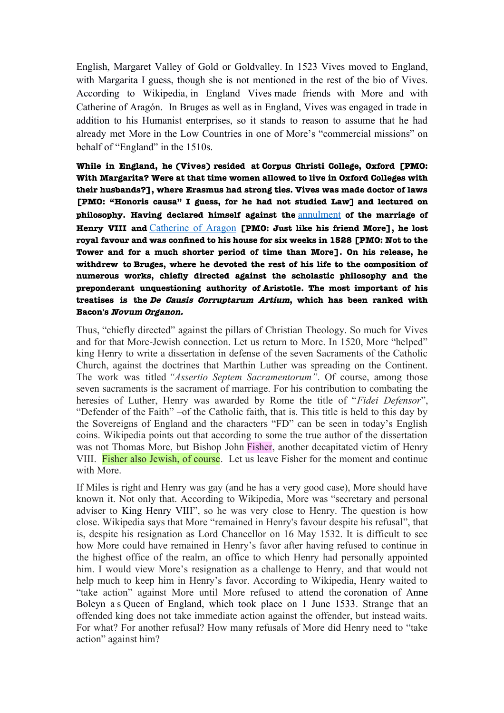English, Margaret Valley of Gold or Goldvalley. In 1523 Vives moved to England, with Margarita I guess, though she is not mentioned in the rest of the bio of Vives. According to Wikipedia, in England Vives made friends with More and with Catherine of Aragón. In Bruges as well as in England, Vives was engaged in trade in addition to his Humanist enterprises, so it stands to reason to assume that he had already met More in the Low Countries in one of More's "commercial missions" on behalf of "England" in the 1510s.

<span id="page-12-0"></span>**While in England, he (Vives) resided at [Corpus Christi College, Oxford](file:///h) [PMO: With Margarita? Were at that time women allowed to live in Oxford Colleges with their husbands?], where Erasmus had strong ties. Vives was made doctor of laws [PMO: "Honoris causa" I guess, for he had not studied Law] and lectured on [philosophy.](file:///h) Having declared himself against the** [annulment](#page-12-0) **of the marriage of Henry VIII and** [Catherine of Aragon](file:///h) **[PMO: Just like his friend More], he lost royal favour and was confned to his house for six weeks in 1528 [PMO: Not to the Tower and for a much shorter period of time than More]. On his release, he withdrew to [Bruges,](file:///h) where he devoted the rest of his life to the composition of numerous works, chiefy directed against the scholastic philosophy and the preponderant unquestioning authority of [Aristotle.](file:///h) The most important of his treatises is the De Causis Corruptarum Artium, which has been ranked with [Bacon'](file:///h)s [Novum Organon.](file:///h)**

Thus, "chiefly directed" against the pillars of Christian Theology. So much for Vives and for that More-Jewish connection. Let us return to More. In 1520, More "helped" king Henry to write a dissertation in defense of the seven Sacraments of the Catholic Church, against the doctrines that Marthin Luther was spreading on the Continent. The work was titled *"Assertio Septem Sacramentorum"*. Of course, among those seven sacraments is the sacrament of marriage. For his contribution to combating the heresies of Luther, Henry was awarded by Rome the title of "*Fidei Defensor*", "Defender of the Faith" –of the Catholic faith, that is. This title is held to this day by the Sovereigns of England and the characters "FD" can be seen in today's English coins. Wikipedia points out that according to some the true author of the dissertation was not Thomas More, but Bishop John Fisher, another decapitated victim of Henry VIII. Fisher also Jewish, of course. Let us leave Fisher for the moment and continue with More

If Miles is right and Henry was gay (and he has a very good case), More should have known it. Not only that. According to Wikipedia, More was "secretary and personal adviser to [King Henry VIII"](file:///h), so he was very close to Henry. The question is how close. Wikipedia says that More "remained in Henry's favour despite his refusal", that is, despite his resignation as Lord Chancellor on 16 May 1532. It is difficult to see how More could have remained in Henry's favor after having refused to continue in the highest office of the realm, an office to which Henry had personally appointed him. I would view More's resignation as a challenge to Henry, and that would not help much to keep him in Henry's favor. According to Wikipedia, Henry waited to "take action" against More until More refused to attend the [coronation](file:///h) of [Anne](file:///h) [Boleyn](file:///h) a s [Queen of England,](file:///h) which took place on 1 June 1533. Strange that an offended king does not take immediate action against the offender, but instead waits. For what? For another refusal? How many refusals of More did Henry need to "take action" against him?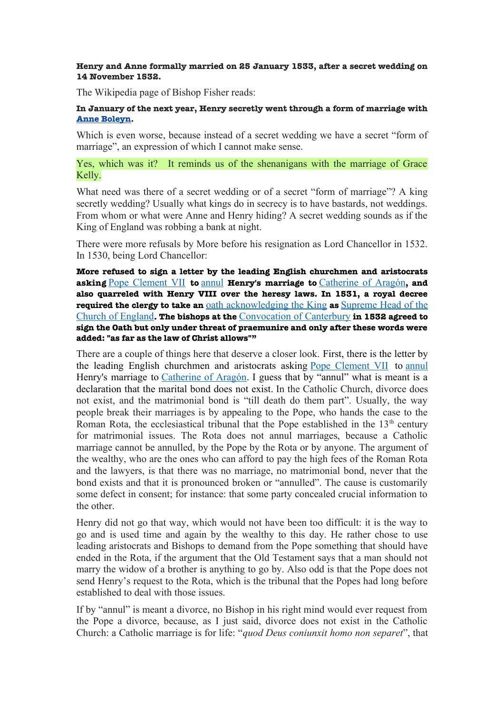## **Henry and Anne formally married on 25 January 1533, after a secret wedding on 14 November 1532.**

The Wikipedia page of Bishop Fisher reads:

# **In January of the next year, Henry secretly went through a form of marriage with [Anne Boleyn.](file:///h)**

Which is even worse, because instead of a secret wedding we have a secret "form of marriage", an expression of which I cannot make sense.

# Yes, which was it? It reminds us of the shenanigans with the marriage of Grace Kelly.

What need was there of a secret wedding or of a secret "form of marriage"? A king secretly wedding? Usually what kings do in secrecy is to have bastards, not weddings. From whom or what were Anne and Henry hiding? A secret wedding sounds as if the King of England was robbing a bank at night.

There were more refusals by More before his resignation as Lord Chancellor in 1532. In 1530, being Lord Chancellor:

**More refused to sign a letter by the leading English churchmen and aristocrats asking** [Pope Clement VII](file:///h) **to** [annul](file:///h) **Henry's marriage to** [Catherine of Aragón](file:///h)**, and also quarreled with Henry VIII over the heresy laws. In 1531, a royal decree required the clergy to take an** [oath acknowledging the King](file:///h) **as** [Supreme Head of the](file:///h) [Church of England](file:///h)**. The bishops at the** [Convocation of Canterbury](file:///h) **in 1532 agreed to sign the Oath but only under threat of praemunire and only after these words were added: "as far as the law of Christ allows""**

There are a couple of things here that deserve a closer look. First, there is the letter by the leading English churchmen and aristocrats asking [Pope Clement VII](file:///h) to [annul](file:///h) Henry's marriage to [Catherine of Aragón.](file:///h) I guess that by "annul" what is meant is a declaration that the marital bond does not exist. In the Catholic Church, divorce does not exist, and the matrimonial bond is "till death do them part". Usually, the way people break their marriages is by appealing to the Pope, who hands the case to the Roman Rota, the ecclesiastical tribunal that the Pope established in the  $13<sup>th</sup>$  century for matrimonial issues. The Rota does not annul marriages, because a Catholic marriage cannot be annulled, by the Pope by the Rota or by anyone. The argument of the wealthy, who are the ones who can afford to pay the high fees of the Roman Rota and the lawyers, is that there was no marriage, no matrimonial bond, never that the bond exists and that it is pronounced broken or "annulled". The cause is customarily some defect in consent; for instance: that some party concealed crucial information to the other.

Henry did not go that way, which would not have been too difficult: it is the way to go and is used time and again by the wealthy to this day. He rather chose to use leading aristocrats and Bishops to demand from the Pope something that should have ended in the Rota, if the argument that the Old Testament says that a man should not marry the widow of a brother is anything to go by. Also odd is that the Pope does not send Henry's request to the Rota, which is the tribunal that the Popes had long before established to deal with those issues.

If by "annul" is meant a divorce, no Bishop in his right mind would ever request from the Pope a divorce, because, as I just said, divorce does not exist in the Catholic Church: a Catholic marriage is for life: "*quod Deus coniunxit homo non separet*", that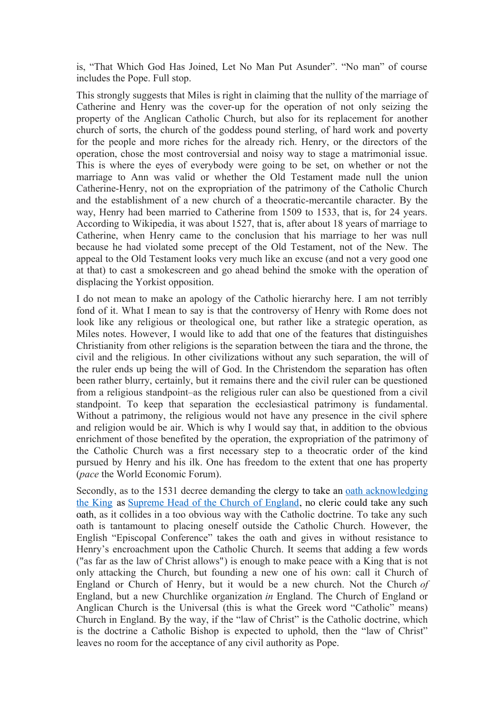is, "That Which God Has Joined, Let No Man Put Asunder". "No man" of course includes the Pope. Full stop.

This strongly suggests that Miles is right in claiming that the nullity of the marriage of Catherine and Henry was the cover-up for the operation of not only seizing the property of the Anglican Catholic Church, but also for its replacement for another church of sorts, the church of the goddess pound sterling, of hard work and poverty for the people and more riches for the already rich. Henry, or the directors of the operation, chose the most controversial and noisy way to stage a matrimonial issue. This is where the eyes of everybody were going to be set, on whether or not the marriage to Ann was valid or whether the Old Testament made null the union Catherine-Henry, not on the expropriation of the patrimony of the Catholic Church and the establishment of a new church of a theocratic-mercantile character. By the way, Henry had been married to Catherine from 1509 to 1533, that is, for 24 years. According to Wikipedia, it was about 1527, that is, after about 18 years of marriage to Catherine, when Henry came to the conclusion that his marriage to her was null because he had violated some precept of the Old Testament, not of the New. The appeal to the Old Testament looks very much like an excuse (and not a very good one at that) to cast a smokescreen and go ahead behind the smoke with the operation of displacing the Yorkist opposition.

I do not mean to make an apology of the Catholic hierarchy here. I am not terribly fond of it. What I mean to say is that the controversy of Henry with Rome does not look like any religious or theological one, but rather like a strategic operation, as Miles notes. However, I would like to add that one of the features that distinguishes Christianity from other religions is the separation between the tiara and the throne, the civil and the religious. In other civilizations without any such separation, the will of the ruler ends up being the will of God. In the Christendom the separation has often been rather blurry, certainly, but it remains there and the civil ruler can be questioned from a religious standpoint–as the religious ruler can also be questioned from a civil standpoint. To keep that separation the ecclesiastical patrimony is fundamental. Without a patrimony, the religious would not have any presence in the civil sphere and religion would be air. Which is why I would say that, in addition to the obvious enrichment of those benefited by the operation, the expropriation of the patrimony of the Catholic Church was a first necessary step to a theocratic order of the kind pursued by Henry and his ilk. One has freedom to the extent that one has property (*pace* the World Economic Forum).

Secondly, as to the 1531 decree demanding the clergy to take an [oath acknowledging](file:///h) [the King](file:///h) as [Supreme Head of the Church of England,](file:///h) no cleric could take any such oath, as it collides in a too obvious way with the Catholic doctrine. To take any such oath is tantamount to placing oneself outside the Catholic Church. However, the English "Episcopal Conference" takes the oath and gives in without resistance to Henry's encroachment upon the Catholic Church. It seems that adding a few words ("as far as the law of Christ allows") is enough to make peace with a King that is not only attacking the Church, but founding a new one of his own: call it Church of England or Church of Henry, but it would be a new church. Not the Church *of* England, but a new Churchlike organization *in* England. The Church of England or Anglican Church is the Universal (this is what the Greek word "Catholic" means) Church in England. By the way, if the "law of Christ" is the Catholic doctrine, which is the doctrine a Catholic Bishop is expected to uphold, then the "law of Christ" leaves no room for the acceptance of any civil authority as Pope.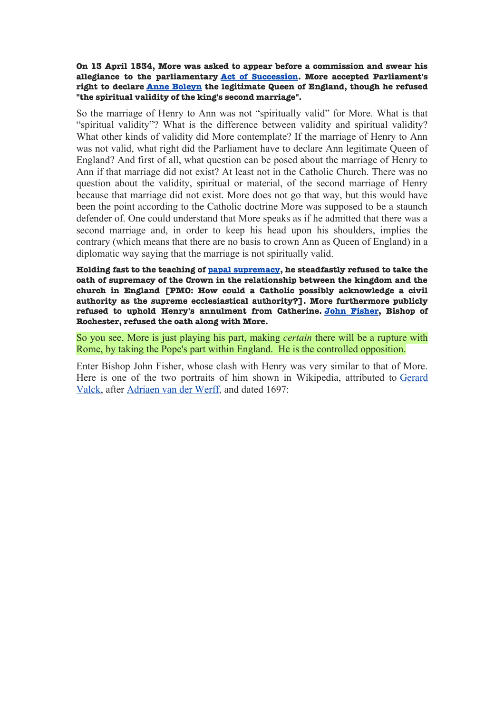**On 13 April 1534, More was asked to appear before a commission and swear his allegiance to the parliamentary [Act of Succession.](file:///h) More accepted Parliament's right to declare [Anne Boleyn](file:///h) the legitimate Queen of England, though he refused "the spiritual validity of the king's second marriage".**

So the marriage of Henry to Ann was not "spiritually valid" for More. What is that "spiritual validity"? What is the difference between validity and spiritual validity? What other kinds of validity did More contemplate? If the marriage of Henry to Ann was not valid, what right did the Parliament have to declare Ann legitimate Queen of England? And first of all, what question can be posed about the marriage of Henry to Ann if that marriage did not exist? At least not in the Catholic Church. There was no question about the validity, spiritual or material, of the second marriage of Henry because that marriage did not exist. More does not go that way, but this would have been the point according to the Catholic doctrine More was supposed to be a staunch defender of. One could understand that More speaks as if he admitted that there was a second marriage and, in order to keep his head upon his shoulders, implies the contrary (which means that there are no basis to crown Ann as Queen of England) in a diplomatic way saying that the marriage is not spiritually valid.

**Holding fast to the teaching of [papal supremacy,](file:///h) he steadfastly refused to take the oath of supremacy of the Crown in the relationship between the kingdom and the church in England [PMO: How could a Catholic possibly acknowledge a civil authority as the supreme ecclesiastical authority?]. More furthermore publicly refused to uphold Henry's annulment from Catherine. [John Fisher,](file:///h) Bishop of Rochester, refused the oath along with More.**

So you see, More is just playing his part, making *certain* there will be a rupture with Rome, by taking the Pope's part within England. He is the controlled opposition.

Enter Bishop John Fisher, whose clash with Henry was very similar to that of More. Here is one of the two portraits of him shown in Wikipedia, attributed to [Gerard](file:///h) [Valck,](file:///h) after [Adriaen van der Werff,](file:///h) and dated 1697: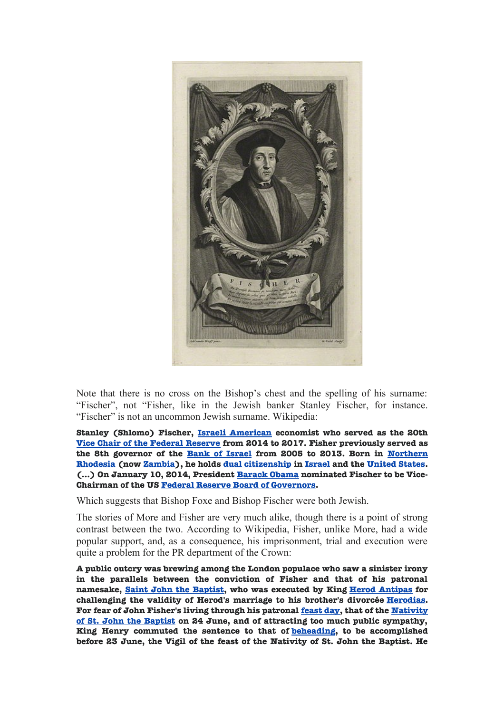

Note that there is no cross on the Bishop's chest and the spelling of his surname: "Fischer", not "Fisher, like in the Jewish banker Stanley Fischer, for instance. "Fischer" is not an uncommon Jewish surname. Wikipedia:

**Stanley (Shlomo) Fischer, [Israeli American](file:///h) economist who served as the 20th [Vice Chair of the Federal Reserve](file:///h) from 2014 to 2017. Fisher previously served as the 8th governor of the [Bank of Israel](file:///h) from 2005 to 2013. Born in [Northern](file:///h) [Rhodesia](file:///h) (now [Zambia\)](file:///h), he holds [dual citizenship](file:///h) in [Israel](file:///h) and the [United States.](file:///h) (...) On January 10, 2014, President [Barack Obama](file:///h) nominated Fischer to be Vice-Chairman of the US [Federal Reserve Board of Governors.](file:///h)**

Which suggests that Bishop Foxe and Bishop Fischer were both Jewish.

The stories of More and Fisher are very much alike, though there is a point of strong contrast between the two. According to Wikipedia, Fisher, unlike More, had a wide popular support, and, as a consequence, his imprisonment, trial and execution were quite a problem for the PR department of the Crown:

**A public outcry was brewing among the London populace who saw a sinister irony in the parallels between the conviction of Fisher and that of his patronal namesake, [Saint John the Baptist,](file:///h) who was executed by King [Herod Antipas](file:///h) for challenging the validity of Herod's marriage to his brother's divorcée [Herodias.](file:///h) For fear of John Fisher's living through his patronal [feast day,](file:///h) that of the [Nativity](file:///h) [of St. John the Baptist](file:///h) on 24 June, and of attracting too much public sympathy, King Henry commuted the sentence to that of [beheading,](file:///h) to be accomplished before 23 June, the Vigil of the feast of the Nativity of St. John the Baptist. He**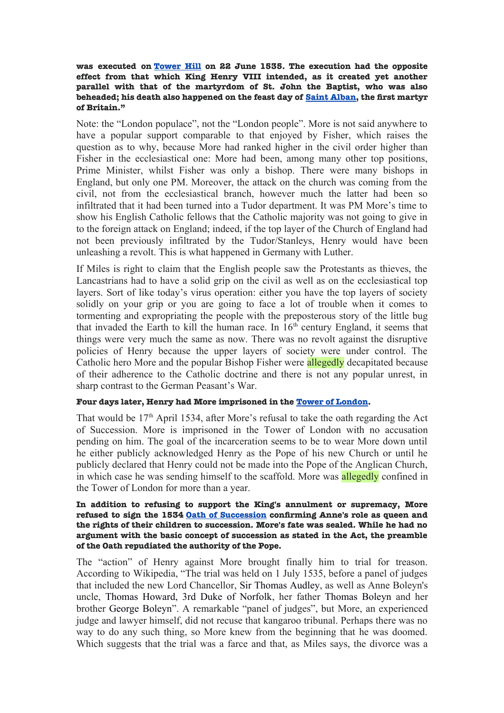**was executed on [Tower Hill](file:///h) on 22 June 1535. The execution had the opposite effect from that which King Henry VIII intended, as it created yet another parallel with that of the martyrdom of St. John the Baptist, who was also beheaded; his death also happened on the feast day of [Saint Alban,](file:///h) the frst martyr of Britain."**

Note: the "London populace", not the "London people". More is not said anywhere to have a popular support comparable to that enjoyed by Fisher, which raises the question as to why, because More had ranked higher in the civil order higher than Fisher in the ecclesiastical one: More had been, among many other top positions, Prime Minister, whilst Fisher was only a bishop. There were many bishops in England, but only one PM. Moreover, the attack on the church was coming from the civil, not from the ecclesiastical branch, however much the latter had been so infiltrated that it had been turned into a Tudor department. It was PM More's time to show his English Catholic fellows that the Catholic majority was not going to give in to the foreign attack on England; indeed, if the top layer of the Church of England had not been previously infiltrated by the Tudor/Stanleys, Henry would have been unleashing a revolt. This is what happened in Germany with Luther.

If Miles is right to claim that the English people saw the Protestants as thieves, the Lancastrians had to have a solid grip on the civil as well as on the ecclesiastical top layers. Sort of like today's virus operation: either you have the top layers of society solidly on your grip or you are going to face a lot of trouble when it comes to tormenting and expropriating the people with the preposterous story of the little bug that invaded the Earth to kill the human race. In  $16<sup>th</sup>$  century England, it seems that things were very much the same as now. There was no revolt against the disruptive policies of Henry because the upper layers of society were under control. The Catholic hero More and the popular Bishop Fisher were allegedly decapitated because of their adherence to the Catholic doctrine and there is not any popular unrest, in sharp contrast to the German Peasant's War.

## **Four days later, Henry had More imprisoned in the [Tower of London.](file:///h)**

That would be  $17<sup>th</sup>$  April 1534, after More's refusal to take the oath regarding the Act of Succession. More is imprisoned in the Tower of London with no accusation pending on him. The goal of the incarceration seems to be to wear More down until he either publicly acknowledged Henry as the Pope of his new Church or until he publicly declared that Henry could not be made into the Pope of the Anglican Church, in which case he was sending himself to the scaffold. More was allegedly confined in the Tower of London for more than a year.

### **In addition to refusing to support the King's annulment or supremacy, More refused to sign the 1534 [Oath of Succession](file:///h) confrming Anne's role as queen and the rights of their children to succession. More's fate was sealed. While he had no argument with the basic concept of succession as stated in the Act, the preamble of the Oath repudiated the authority of the Pope.**

The "action" of Henry against More brought finally him to trial for treason. According to Wikipedia, "The trial was held on 1 July 1535, before a panel of judges that included the new Lord Chancellor, [Sir Thomas Audley,](file:///h) as well as Anne Boleyn's uncle, [Thomas Howard, 3rd Duke of Norfolk,](file:///h) her father [Thomas Boleyn](file:///h) and her brother [George Boleyn"](file:///h). A remarkable "panel of judges", but More, an experienced judge and lawyer himself, did not recuse that kangaroo tribunal. Perhaps there was no way to do any such thing, so More knew from the beginning that he was doomed. Which suggests that the trial was a farce and that, as Miles says, the divorce was a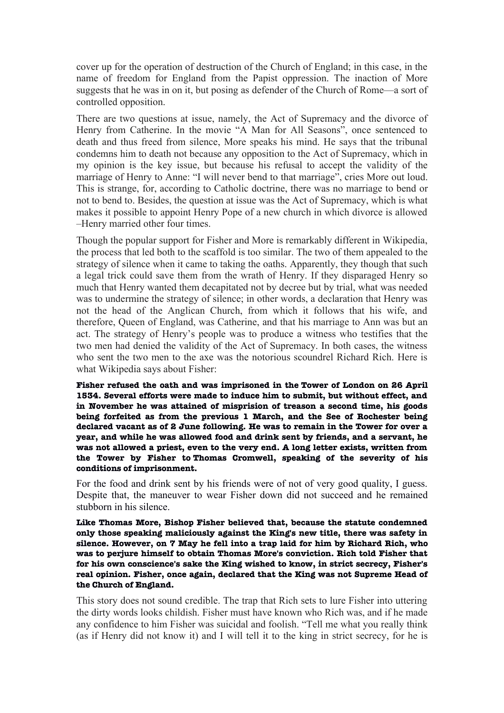cover up for the operation of destruction of the Church of England; in this case, in the name of freedom for England from the Papist oppression. The inaction of More suggests that he was in on it, but posing as defender of the Church of Rome—a sort of controlled opposition.

There are two questions at issue, namely, the Act of Supremacy and the divorce of Henry from Catherine. In the movie "A Man for All Seasons", once sentenced to death and thus freed from silence, More speaks his mind. He says that the tribunal condemns him to death not because any opposition to the Act of Supremacy, which in my opinion is the key issue, but because his refusal to accept the validity of the marriage of Henry to Anne: "I will never bend to that marriage", cries More out loud. This is strange, for, according to Catholic doctrine, there was no marriage to bend or not to bend to. Besides, the question at issue was the Act of Supremacy, which is what makes it possible to appoint Henry Pope of a new church in which divorce is allowed –Henry married other four times.

Though the popular support for Fisher and More is remarkably different in Wikipedia, the process that led both to the scaffold is too similar. The two of them appealed to the strategy of silence when it came to taking the oaths. Apparently, they though that such a legal trick could save them from the wrath of Henry. If they disparaged Henry so much that Henry wanted them decapitated not by decree but by trial, what was needed was to undermine the strategy of silence; in other words, a declaration that Henry was not the head of the Anglican Church, from which it follows that his wife, and therefore, Queen of England, was Catherine, and that his marriage to Ann was but an act. The strategy of Henry's people was to produce a witness who testifies that the two men had denied the validity of the Act of Supremacy. In both cases, the witness who sent the two men to the axe was the notorious scoundrel Richard Rich. Here is what Wikipedia says about Fisher:

**Fisher refused the oath and was imprisoned in the [Tower of London](file:///h) on 26 April 1534. Several efforts were made to induce him to submit, but without effect, and in November he was attained of misprision of treason a second time, his goods being forfeited as from the previous 1 March, and the See of Rochester being declared vacant as of 2 June following. He was to remain in the Tower for over a year, and while he was allowed food and drink sent by friends, and a servant, he was not allowed a priest, even to the very end. A long letter exists, written from the Tower by Fisher to [Thomas Cromwell,](file:///h) speaking of the severity of his conditions of imprisonment.**

For the food and drink sent by his friends were of not of very good quality, I guess. Despite that, the maneuver to wear Fisher down did not succeed and he remained stubborn in his silence.

**Like Thomas More, Bishop Fisher believed that, because the statute condemned only those speaking maliciously against the King's new title, there was safety in silence. However, on 7 May he fell into a trap laid for him by [Richard Rich,](file:///h) who was to perjure himself to obtain Thomas More's conviction. Rich told Fisher that for his own conscience's sake the King wished to know, in strict secrecy, Fisher's real opinion. Fisher, once again, declared that the King was not Supreme Head of the Church of England.**

This story does not sound credible. The trap that Rich sets to lure Fisher into uttering the dirty words looks childish. Fisher must have known who Rich was, and if he made any confidence to him Fisher was suicidal and foolish. "Tell me what you really think (as if Henry did not know it) and I will tell it to the king in strict secrecy, for he is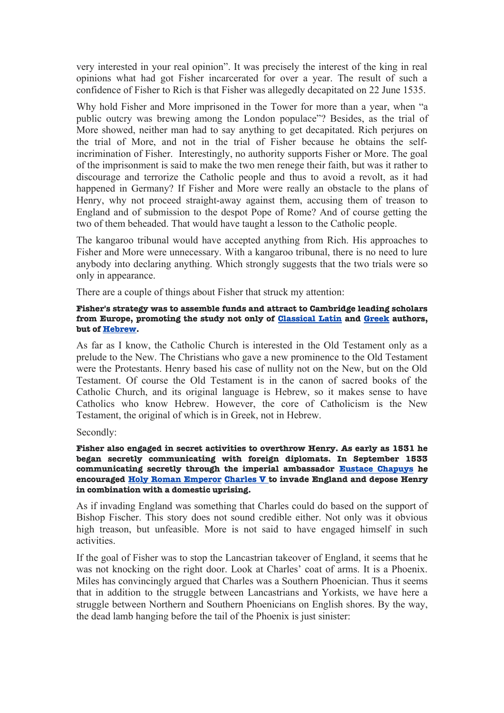very interested in your real opinion". It was precisely the interest of the king in real opinions what had got Fisher incarcerated for over a year. The result of such a confidence of Fisher to Rich is that Fisher was allegedly decapitated on 22 June 1535.

Why hold Fisher and More imprisoned in the Tower for more than a year, when "a public outcry was brewing among the London populace"? Besides, as the trial of More showed, neither man had to say anything to get decapitated. Rich perjures on the trial of More, and not in the trial of Fisher because he obtains the selfincrimination of Fisher. Interestingly, no authority supports Fisher or More. The goal of the imprisonment is said to make the two men renege their faith, but was it rather to discourage and terrorize the Catholic people and thus to avoid a revolt, as it had happened in Germany? If Fisher and More were really an obstacle to the plans of Henry, why not proceed straight-away against them, accusing them of treason to England and of submission to the despot Pope of Rome? And of course getting the two of them beheaded. That would have taught a lesson to the Catholic people.

The kangaroo tribunal would have accepted anything from Rich. His approaches to Fisher and More were unnecessary. With a kangaroo tribunal, there is no need to lure anybody into declaring anything. Which strongly suggests that the two trials were so only in appearance.

There are a couple of things about Fisher that struck my attention:

# **Fisher's strategy was to assemble funds and attract to Cambridge leading scholars from Europe, promoting the study not only of [Classical Latin](file:///h) and [Greek](file:///h) authors, but of [Hebrew.](file:///h)**

As far as I know, the Catholic Church is interested in the Old Testament only as a prelude to the New. The Christians who gave a new prominence to the Old Testament were the Protestants. Henry based his case of nullity not on the New, but on the Old Testament. Of course the Old Testament is in the canon of sacred books of the Catholic Church, and its original language is Hebrew, so it makes sense to have Catholics who know Hebrew. However, the core of Catholicism is the New Testament, the original of which is in Greek, not in Hebrew.

Secondly:

**Fisher also engaged in secret activities to overthrow Henry. As early as 1531 he began secretly communicating with foreign diplomats. In September 1533 communicating secretly through the imperial ambassador [Eustace Chapuys](file:///h) he encouraged [Holy Roman Emperor Charles V](file:///h) to invade England and depose Henry in combination with a domestic uprising.**

As if invading England was something that Charles could do based on the support of Bishop Fischer. This story does not sound credible either. Not only was it obvious high treason, but unfeasible. More is not said to have engaged himself in such activities.

If the goal of Fisher was to stop the Lancastrian takeover of England, it seems that he was not knocking on the right door. Look at Charles' coat of arms. It is a Phoenix. Miles has convincingly argued that Charles was a Southern Phoenician. Thus it seems that in addition to the struggle between Lancastrians and Yorkists, we have here a struggle between Northern and Southern Phoenicians on English shores. By the way, the dead lamb hanging before the tail of the Phoenix is just sinister: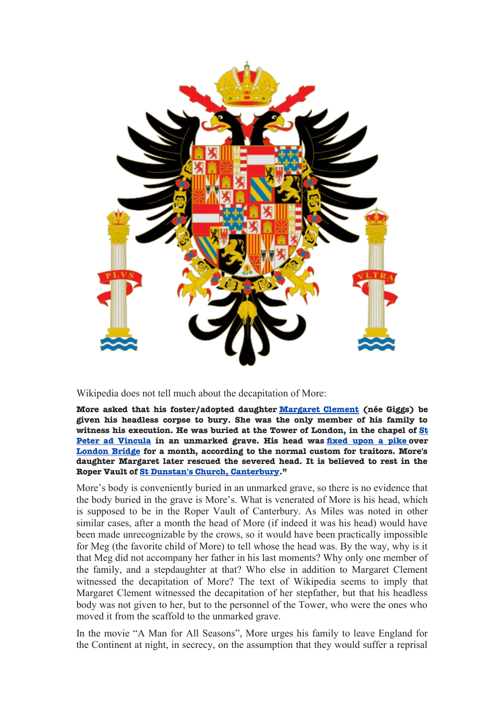

# Wikipedia does not tell much about the decapitation of More:

**More asked that his foster/adopted daughter [Margaret Clement](file:///h) (née Giggs) be given his headless corpse to bury. She was the only member of his family to witness his execution. He was buried at the Tower of London, in the chapel of [St](file:///h) [Peter ad Vincula](file:///h) in an unmarked grave. His head was [fxed upon a pike](file:///h) over [London Bridge](file:///h) for a month, according to the normal custom for traitors. More's daughter Margaret later rescued the severed head. It is believed to rest in the Roper Vault of [St Dunstan's Church, Canterbury.](file:///h)"**

More's body is conveniently buried in an unmarked grave, so there is no evidence that the body buried in the grave is More's. What is venerated of More is his head, which is supposed to be in the Roper Vault of Canterbury. As Miles was noted in other similar cases, after a month the head of More (if indeed it was his head) would have been made unrecognizable by the crows, so it would have been practically impossible for Meg (the favorite child of More) to tell whose the head was. By the way, why is it that Meg did not accompany her father in his last moments? Why only one member of the family, and a stepdaughter at that? Who else in addition to Margaret Clement witnessed the decapitation of More? The text of Wikipedia seems to imply that Margaret Clement witnessed the decapitation of her stepfather, but that his headless body was not given to her, but to the personnel of the Tower, who were the ones who moved it from the scaffold to the unmarked grave.

In the movie "A Man for All Seasons", More urges his family to leave England for the Continent at night, in secrecy, on the assumption that they would suffer a reprisal